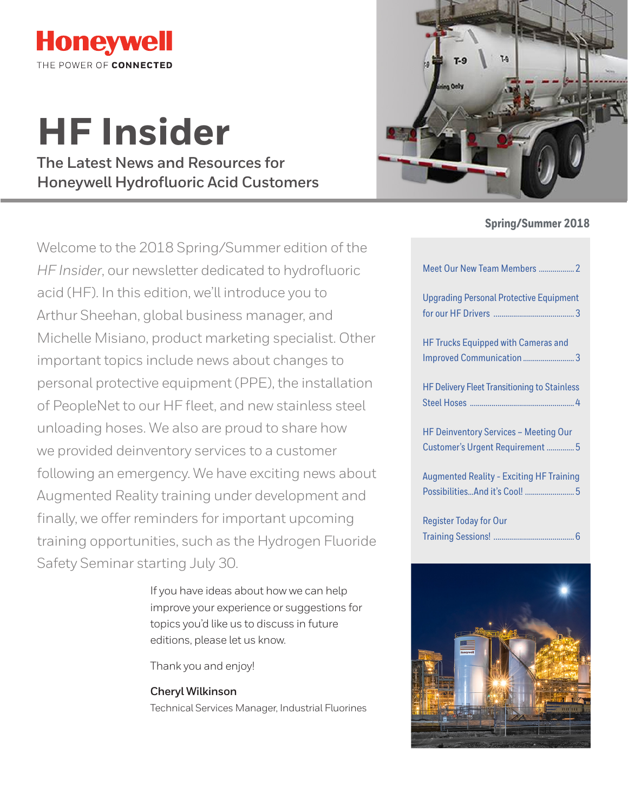

# **HF Insider**

**The Latest News and Resources for Honeywell Hydrofluoric Acid Customers**



## **Spring/Summer 2018**

Welcome to the 2018 Spring/Summer edition of the *HF Insider*, our newsletter dedicated to hydrofluoric acid (HF). In this edition, we'll introduce you to Arthur Sheehan, global business manager, and Michelle Misiano, product marketing specialist. Other important topics include news about changes to personal protective equipment (PPE), the installation of PeopleNet to our HF fleet, and new stainless steel unloading hoses. We also are proud to share how we provided deinventory services to a customer following an emergency. We have exciting news about Augmented Reality training under development and finally, we offer reminders for important upcoming training opportunities, such as the Hydrogen Fluoride Safety Seminar starting July 30.

> If you have ideas about how we can help improve your experience or suggestions for topics you'd like us to discuss in future editions, please let us know.

Thank you and enjoy!

#### **Cheryl Wilkinson**

Technical Services Manager, Industrial Fluorines

| Meet Our New Team Members  2                                                      |
|-----------------------------------------------------------------------------------|
| <b>Upgrading Personal Protective Equipment</b>                                    |
| <b>HF Trucks Equipped with Cameras and</b><br>Improved Communication3             |
| <b>HF Delivery Fleet Transitioning to Stainless</b>                               |
| <b>HF Deinventory Services - Meeting Our</b><br>Customer's Urgent Requirement  5  |
| <b>Augmented Reality - Exciting HF Training</b><br>PossibilitiesAnd it's Cool!  5 |
| <b>Register Today for Our</b>                                                     |

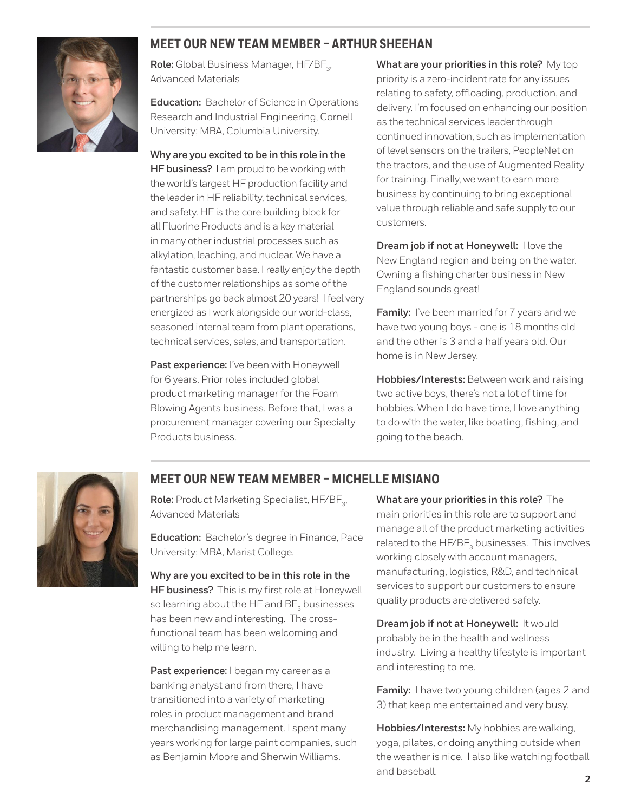<span id="page-1-0"></span>

## **MEET OUR NEW TEAM MEMBER – ARTHUR SHEEHAN**

Role: Global Business Manager, HF/BF<sub>3</sub>, Advanced Materials

**Education:** Bachelor of Science in Operations Research and Industrial Engineering, Cornell University; MBA, Columbia University.

**Why are you excited to be in this role in the HF business?** I am proud to be working with the world's largest HF production facility and the leader in HF reliability, technical services, and safety. HF is the core building block for all Fluorine Products and is a key material in many other industrial processes such as alkylation, leaching, and nuclear. We have a fantastic customer base. I really enjoy the depth of the customer relationships as some of the partnerships go back almost 20 years! I feel very energized as I work alongside our world-class, seasoned internal team from plant operations, technical services, sales, and transportation.

Past experience: I've been with Honeywell for 6 years. Prior roles included global product marketing manager for the Foam Blowing Agents business. Before that, I was a procurement manager covering our Specialty Products business.

**What are your priorities in this role?** My top priority is a zero-incident rate for any issues relating to safety, offloading, production, and delivery. I'm focused on enhancing our position as the technical services leader through continued innovation, such as implementation of level sensors on the trailers, PeopleNet on the tractors, and the use of Augmented Reality for training. Finally, we want to earn more business by continuing to bring exceptional value through reliable and safe supply to our customers.

**Dream job if not at Honeywell:** I love the New England region and being on the water. Owning a fishing charter business in New England sounds great!

**Family:** I've been married for 7 years and we have two young boys - one is 18 months old and the other is 3 and a half years old. Our home is in New Jersey.

**Hobbies/Interests:** Between work and raising two active boys, there's not a lot of time for hobbies. When I do have time, I love anything to do with the water, like boating, fishing, and going to the beach.



## **MEET OUR NEW TEAM MEMBER – MICHELLE MISIANO**

Role: Product Marketing Specialist, HF/BF<sub>3</sub>, Advanced Materials

**Education:** Bachelor's degree in Finance, Pace University; MBA, Marist College.

**Why are you excited to be in this role in the HF business?** This is my first role at Honeywell so learning about the HF and BF<sub>2</sub> businesses has been new and interesting. The crossfunctional team has been welcoming and willing to help me learn.

Past experience: I began my career as a banking analyst and from there, I have transitioned into a variety of marketing roles in product management and brand merchandising management. I spent many years working for large paint companies, such as Benjamin Moore and Sherwin Williams.

**What are your priorities in this role?** The main priorities in this role are to support and manage all of the product marketing activities related to the HF/BF<sub>2</sub> businesses. This involves working closely with account managers, manufacturing, logistics, R&D, and technical services to support our customers to ensure quality products are delivered safely.

**Dream job if not at Honeywell:** It would probably be in the health and wellness industry. Living a healthy lifestyle is important and interesting to me.

**Family:** I have two young children (ages 2 and 3) that keep me entertained and very busy.

**Hobbies/Interests:** My hobbies are walking, yoga, pilates, or doing anything outside when the weather is nice. I also like watching football and baseball.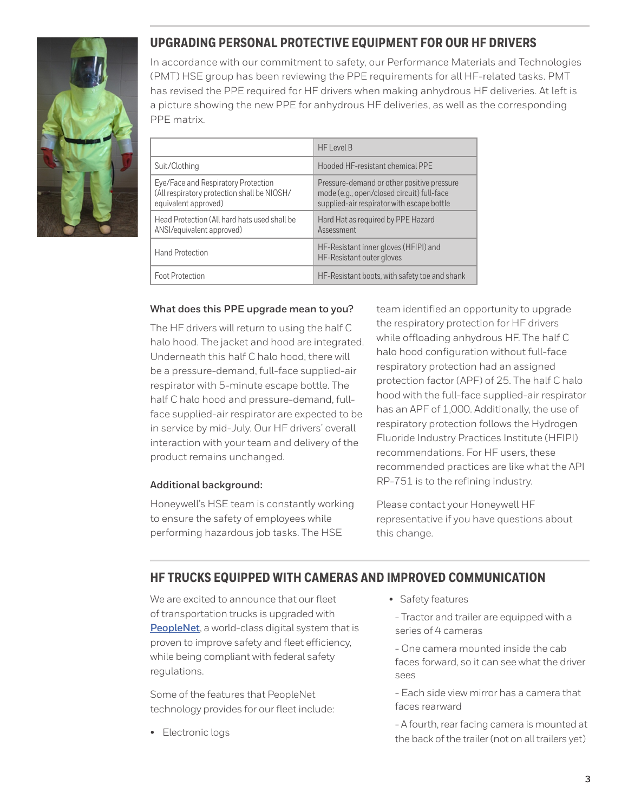<span id="page-2-0"></span>

# **UPGRADING PERSONAL PROTECTIVE EQUIPMENT FOR OUR HF DRIVERS**

In accordance with our commitment to safety, our Performance Materials and Technologies (PMT) HSE group has been reviewing the PPE requirements for all HF-related tasks. PMT has revised the PPE required for HF drivers when making anhydrous HF deliveries. At left is a picture showing the new PPE for anhydrous HF deliveries, as well as the corresponding PPE matrix.

|                                                                                                            | HF Level B                                                                                                                             |
|------------------------------------------------------------------------------------------------------------|----------------------------------------------------------------------------------------------------------------------------------------|
| Suit/Clothing                                                                                              | Hooded HF-resistant chemical PPE                                                                                                       |
| Eye/Face and Respiratory Protection<br>(All respiratory protection shall be NIOSH/<br>equivalent approved) | Pressure-demand or other positive pressure<br>mode (e.g., open/closed circuit) full-face<br>supplied-air respirator with escape bottle |
| Head Protection (All hard hats used shall be<br>ANSI/equivalent approved)                                  | Hard Hat as required by PPE Hazard<br>Assessment                                                                                       |
| <b>Hand Protection</b>                                                                                     | HF-Resistant inner gloves (HFIPI) and<br>HF-Resistant outer gloves                                                                     |
| Foot Protection                                                                                            | HF-Resistant boots, with safety toe and shank                                                                                          |

#### **What does this PPE upgrade mean to you?**

The HF drivers will return to using the half C halo hood. The jacket and hood are integrated. Underneath this half C halo hood, there will be a pressure-demand, full-face supplied-air respirator with 5-minute escape bottle. The half C halo hood and pressure-demand, fullface supplied-air respirator are expected to be in service by mid-July. Our HF drivers' overall interaction with your team and delivery of the product remains unchanged.

#### **Additional background:**

Honeywell's HSE team is constantly working to ensure the safety of employees while performing hazardous job tasks. The HSE

team identified an opportunity to upgrade the respiratory protection for HF drivers while offloading anhydrous HF. The half C halo hood configuration without full-face respiratory protection had an assigned protection factor (APF) of 25. The half C halo hood with the full-face supplied-air respirator has an APF of 1,000. Additionally, the use of respiratory protection follows the Hydrogen Fluoride Industry Practices Institute (HFIPI) recommendations. For HF users, these recommended practices are like what the API RP-751 is to the refining industry.

Please contact your Honeywell HF representative if you have questions about this change.

## **HF TRUCKS EQUIPPED WITH CAMERAS AND IMPROVED COMMUNICATION**

We are excited to announce that our fleet of transportation trucks is upgraded with **[PeopleNet](https://www.peoplenetonline.com/)**, a world-class digital system that is proven to improve safety and fleet efficiency, while being compliant with federal safety regulations.

Some of the features that PeopleNet technology provides for our fleet include:

• Electronic logs

• Safety features

- Tractor and trailer are equipped with a series of 4 cameras

- One camera mounted inside the cab faces forward, so it can see what the driver sees

- Each side view mirror has a camera that faces rearward

- A fourth, rear facing camera is mounted at the back of the trailer (not on all trailers yet)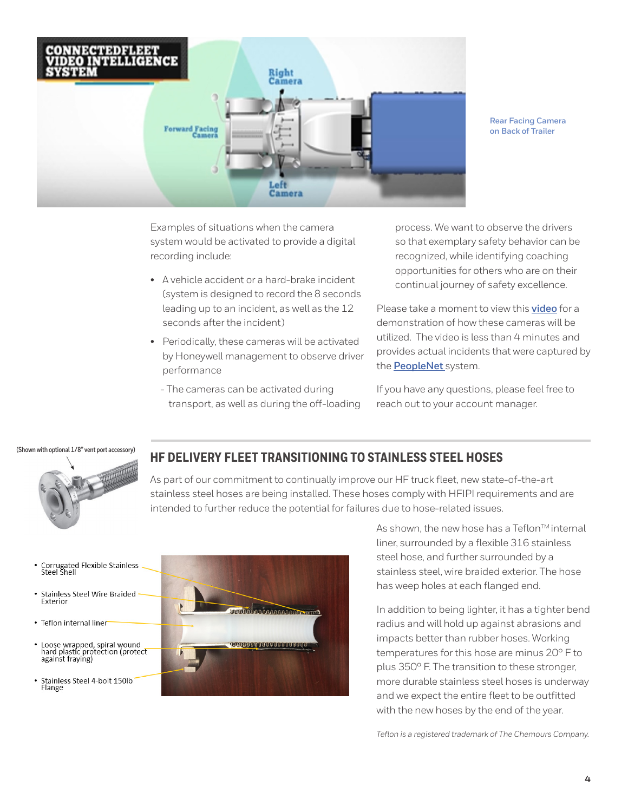<span id="page-3-0"></span>

**Rear Facing Camera on Back of Trailer**

Examples of situations when the camera system would be activated to provide a digital recording include:

- A vehicle accident or a hard-brake incident (system is designed to record the 8 seconds leading up to an incident, as well as the 12 seconds after the incident)
- Periodically, these cameras will be activated by Honeywell management to observe driver performance
	- The cameras can be activated during transport, as well as during the off-loading

process. We want to observe the drivers so that exemplary safety behavior can be recognized, while identifying coaching opportunities for others who are on their continual journey of safety excellence.

Please take a moment to view this **[video](https://www.youtube.com/watch?v=DagZHan4Auw)** for a demonstration of how these cameras will be utilized. The video is less than 4 minutes and provides actual incidents that were captured by the **[PeopleNet](https://www.peoplenetonline.com/)** system.

If you have any questions, please feel free to reach out to your account manager.

**(Shown with optional 1/8" vent port accessory)**



## **HF DELIVERY FLEET TRANSITIONING TO STAINLESS STEEL HOSES**

As part of our commitment to continually improve our HF truck fleet, new state-of-the-art stainless steel hoses are being installed. These hoses comply with HFIPI requirements and are intended to further reduce the potential for failures due to hose-related issues.

- Corrugated Flexible Stainless<br>Steel Shell
- Stainless Steel Wire Braided Exterior
- Teflon internal liner
- Loose wrapped, spiral wound<br>hard plastic protection (protect<br>against fraying)
- Stainless Steel 4-bolt 150lb<br>Flange



As shown, the new hose has a Teflon™ internal liner, surrounded by a flexible 316 stainless steel hose, and further surrounded by a stainless steel, wire braided exterior. The hose has weep holes at each flanged end.

In addition to being lighter, it has a tighter bend radius and will hold up against abrasions and impacts better than rubber hoses. Working temperatures for this hose are minus 20° F to plus 350° F. The transition to these stronger, more durable stainless steel hoses is underway and we expect the entire fleet to be outfitted with the new hoses by the end of the year.

*Teflon is a registered trademark of The Chemours Company.*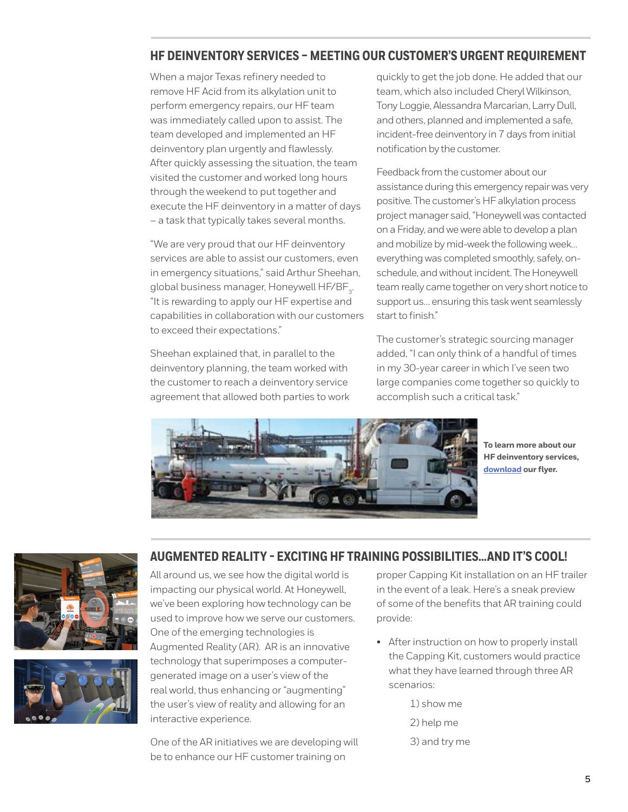## <span id="page-4-0"></span>**HF DEINVENTORY SERVICES – MEETING OUR CUSTOMER'S URGENT REQUIREMENT**

When a major Texas refinery needed to remove HF Acid from its alkylation unit to perform emergency repairs, our HF team was immediately called upon to assist. The team developed and implemented an HF deinventory plan urgently and flawlessly. After quickly assessing the situation, the team visited the customer and worked long hours through the weekend to put together and execute the HF deinventory in a matter of days – a task that typically takes several months.

"We are very proud that our HF deinventory services are able to assist our customers, even in emergency situations," said Arthur Sheehan, global business manager, Honeywell HF/BF<sub>3</sub>. "It is rewarding to apply our HF expertise and capabilities in collaboration with our customers to exceed their expectations."

Sheehan explained that, in parallel to the deinventory planning, the team worked with the customer to reach a deinventory service agreement that allowed both parties to work quickly to get the job done. He added that our team, which also included Cheryl Wilkinson, Tony Loggie, Alessandra Marcarian, Larry Dull, and others, planned and implemented a safe, incident-free deinventory in 7 days from initial notification by the customer.

Feedback from the customer about our assistance during this emergency repair was very positive. The customer's HF alkylation process project manager said, "Honeywell was contacted on a Friday, and we were able to develop a plan and mobilize by mid-week the following week… everything was completed smoothly, safely, onschedule, and without incident. The Honeywell team really came together on very short notice to support us… ensuring this task went seamlessly start to finish."

The customer's strategic sourcing manager added, "I can only think of a handful of times in my 30-year career in which I've seen two large companies come together so quickly to accomplish such a critical task."



**To learn more about our HF deinventory services, [download](https://www.honeywell-hfacid.com/document/hf-deinventory-services-brochure/?download=1) our flyer.** 





## **AUGMENTED REALITY - EXCITING HF TRAINING POSSIBILITIES…AND IT'S COOL!**

All around us, we see how the digital world is impacting our physical world. At Honeywell, we've been exploring how technology can be used to improve how we serve our customers. One of the emerging technologies is Augmented Reality (AR). AR is an innovative technology that superimposes a computergenerated image on a user's view of the real world, thus enhancing or "augmenting" the user's view of reality and allowing for an interactive experience.

One of the AR initiatives we are developing will be to enhance our HF customer training on

proper Capping Kit installation on an HF trailer in the event of a leak. Here's a sneak preview of some of the benefits that AR training could provide:

• After instruction on how to properly install the Capping Kit, customers would practice what they have learned through three AR scenarios:

> 1) show me 2) help me 3) and try me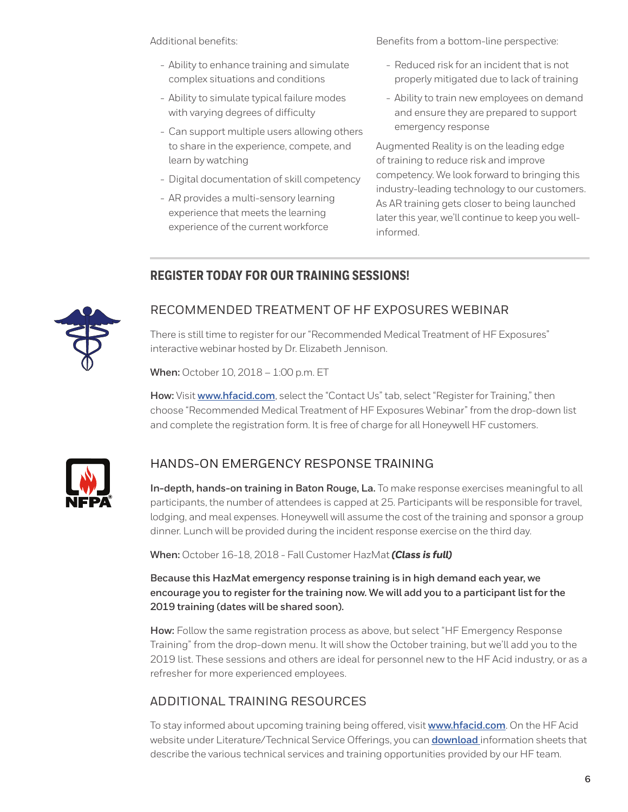<span id="page-5-0"></span>Additional benefits:

- Ability to enhance training and simulate complex situations and conditions
- Ability to simulate typical failure modes with varying degrees of difficulty
- Can support multiple users allowing others to share in the experience, compete, and learn by watching
- Digital documentation of skill competency
- AR provides a multi-sensory learning experience that meets the learning experience of the current workforce

Benefits from a bottom-line perspective:

- Reduced risk for an incident that is not properly mitigated due to lack of training
- Ability to train new employees on demand and ensure they are prepared to support emergency response

Augmented Reality is on the leading edge of training to reduce risk and improve competency. We look forward to bringing this industry-leading technology to our customers. As AR training gets closer to being launched later this year, we'll continue to keep you wellinformed.

# **REGISTER TODAY FOR OUR TRAINING SESSIONS!**



## RECOMMENDED TREATMENT OF HF EXPOSURES WEBINAR

There is still time to register for our "Recommended Medical Treatment of HF Exposures" interactive webinar hosted by Dr. Elizabeth Jennison.

**When:** October 10, 2018 – 1:00 p.m. ET

**How:** Visit **[www.hfacid.com](http://www.hfacid.com/)**, select the "Contact Us" tab, select "Register for Training," then choose "Recommended Medical Treatment of HF Exposures Webinar" from the drop-down list and complete the registration form. It is free of charge for all Honeywell HF customers.



# HANDS-ON EMERGENCY RESPONSE TRAINING

**In-depth, hands-on training in Baton Rouge, La.** To make response exercises meaningful to all participants, the number of attendees is capped at 25. Participants will be responsible for travel, lodging, and meal expenses. Honeywell will assume the cost of the training and sponsor a group dinner. Lunch will be provided during the incident response exercise on the third day.

**When:** October 16-18, 2018 - Fall Customer HazMat *(Class is full)* 

**Because this HazMat emergency response training is in high demand each year, we encourage you to register for the training now. We will add you to a participant list for the 2019 training (dates will be shared soon).** 

**How:** Follow the same registration process as above, but select "HF Emergency Response Training" from the drop-down menu. It will show the October training, but we'll add you to the 2019 list. These sessions and others are ideal for personnel new to the HF Acid industry, or as a refresher for more experienced employees.

## ADDITIONAL TRAINING RESOURCES

To stay informed about upcoming training being offered, visit **[www.hfacid.com](http://www.hfacid.com/)**. On the HF Acid website under Literature/Technical Service Offerings, you can **[download](https://www.honeywell-hfacid.com/literature/)** information sheets that describe the various technical services and training opportunities provided by our HF team.